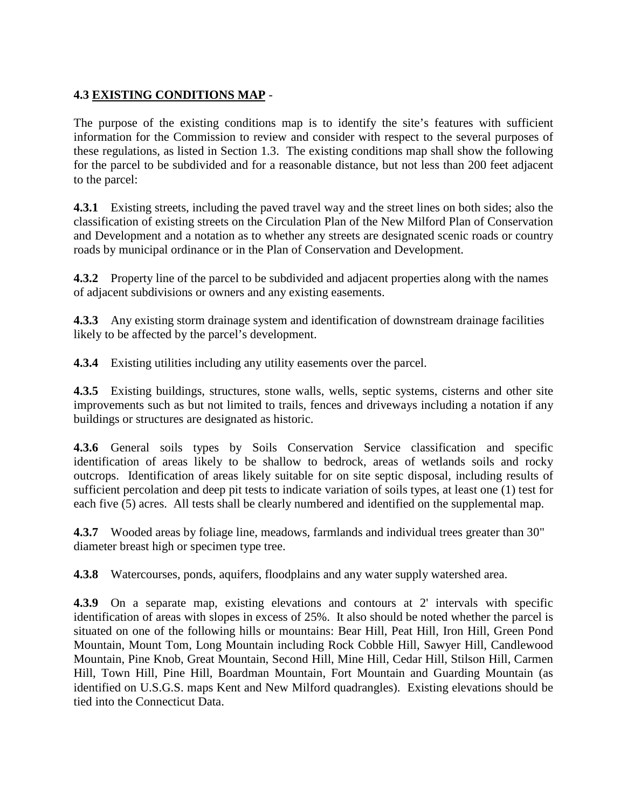## **4.3 EXISTING CONDITIONS MAP** -

The purpose of the existing conditions map is to identify the site's features with sufficient information for the Commission to review and consider with respect to the several purposes of these regulations, as listed in Section 1.3. The existing conditions map shall show the following for the parcel to be subdivided and for a reasonable distance, but not less than 200 feet adjacent to the parcel:

**4.3.1** Existing streets, including the paved travel way and the street lines on both sides; also the classification of existing streets on the Circulation Plan of the New Milford Plan of Conservation and Development and a notation as to whether any streets are designated scenic roads or country roads by municipal ordinance or in the Plan of Conservation and Development.

**4.3.2** Property line of the parcel to be subdivided and adjacent properties along with the names of adjacent subdivisions or owners and any existing easements.

**4.3.3** Any existing storm drainage system and identification of downstream drainage facilities likely to be affected by the parcel's development.

**4.3.4** Existing utilities including any utility easements over the parcel.

**4.3.5** Existing buildings, structures, stone walls, wells, septic systems, cisterns and other site improvements such as but not limited to trails, fences and driveways including a notation if any buildings or structures are designated as historic.

**4.3.6** General soils types by Soils Conservation Service classification and specific identification of areas likely to be shallow to bedrock, areas of wetlands soils and rocky outcrops. Identification of areas likely suitable for on site septic disposal, including results of sufficient percolation and deep pit tests to indicate variation of soils types, at least one (1) test for each five (5) acres. All tests shall be clearly numbered and identified on the supplemental map.

**4.3.7** Wooded areas by foliage line, meadows, farmlands and individual trees greater than 30" diameter breast high or specimen type tree.

**4.3.8** Watercourses, ponds, aquifers, floodplains and any water supply watershed area.

**4.3.9** On a separate map, existing elevations and contours at 2' intervals with specific identification of areas with slopes in excess of 25%. It also should be noted whether the parcel is situated on one of the following hills or mountains: Bear Hill, Peat Hill, Iron Hill, Green Pond Mountain, Mount Tom, Long Mountain including Rock Cobble Hill, Sawyer Hill, Candlewood Mountain, Pine Knob, Great Mountain, Second Hill, Mine Hill, Cedar Hill, Stilson Hill, Carmen Hill, Town Hill, Pine Hill, Boardman Mountain, Fort Mountain and Guarding Mountain (as identified on U.S.G.S. maps Kent and New Milford quadrangles). Existing elevations should be tied into the Connecticut Data.